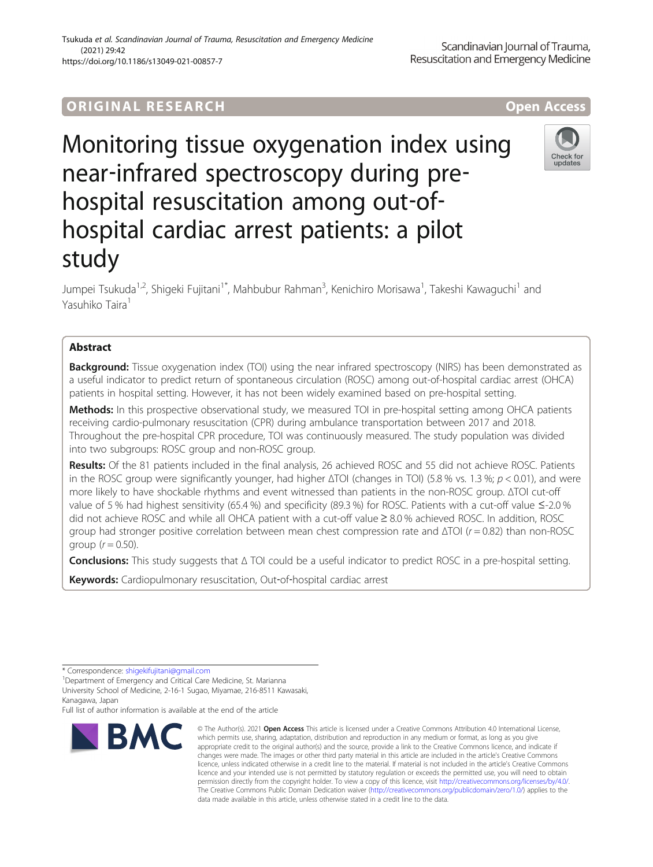# ORIGINA L R E S EA RCH Open Access

Monitoring tissue oxygenation index using near‐infrared spectroscopy during pre‐ hospital resuscitation among out‐of‐ hospital cardiac arrest patients: a pilot study

Jumpei Tsukuda<sup>1,2</sup>, Shigeki Fujitani<sup>1\*</sup>, Mahbubur Rahman<sup>3</sup>, Kenichiro Morisawa<sup>1</sup>, Takeshi Kawaguchi<sup>1</sup> and Yasuhiko Taira<sup>1</sup>

# Abstract

**Background:** Tissue oxygenation index (TOI) using the near infrared spectroscopy (NIRS) has been demonstrated as a useful indicator to predict return of spontaneous circulation (ROSC) among out-of-hospital cardiac arrest (OHCA) patients in hospital setting. However, it has not been widely examined based on pre-hospital setting.

Methods: In this prospective observational study, we measured TOI in pre-hospital setting among OHCA patients receiving cardio-pulmonary resuscitation (CPR) during ambulance transportation between 2017 and 2018. Throughout the pre-hospital CPR procedure, TOI was continuously measured. The study population was divided into two subgroups: ROSC group and non-ROSC group.

Results: Of the 81 patients included in the final analysis, 26 achieved ROSC and 55 did not achieve ROSC. Patients in the ROSC group were significantly younger, had higher  $\Delta$ TOI (changes in TOI) (5.8 % vs. 1.3 %;  $p < 0.01$ ), and were more likely to have shockable rhythms and event witnessed than patients in the non-ROSC group. ΔTOI cut-off value of 5 % had highest sensitivity (65.4 %) and specificity (89.3 %) for ROSC. Patients with a cut-off value ≤-2.0 % did not achieve ROSC and while all OHCA patient with a cut-off value ≥ 8.0 % achieved ROSC. In addition, ROSC group had stronger positive correlation between mean chest compression rate and  $ΔTOI$  ( $r = 0.82$ ) than non-ROSC group  $(r = 0.50)$ .

Conclusions: This study suggests that Δ TOI could be a useful indicator to predict ROSC in a pre-hospital setting.

Keywords: Cardiopulmonary resuscitation, Out-of-hospital cardiac arrest

Full list of author information is available at the end of the article







<sup>\*</sup> Correspondence: [shigekifujitani@gmail.com](mailto:shigekifujitani@gmail.com) <sup>1</sup>

<sup>&</sup>lt;sup>1</sup>Department of Emergency and Critical Care Medicine, St. Marianna University School of Medicine, 2-16-1 Sugao, Miyamae, 216-8511 Kawasaki, Kanagawa, Japan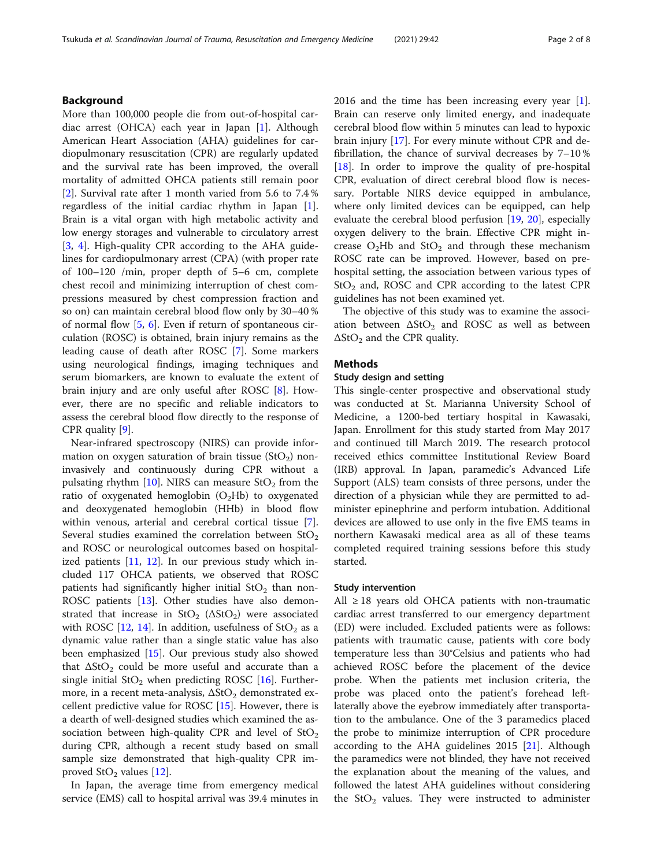# Background

More than 100,000 people die from out-of-hospital cardiac arrest (OHCA) each year in Japan [[1\]](#page-7-0). Although American Heart Association (AHA) guidelines for cardiopulmonary resuscitation (CPR) are regularly updated and the survival rate has been improved, the overall mortality of admitted OHCA patients still remain poor [[2\]](#page-7-0). Survival rate after 1 month varied from 5.6 to 7.4 % regardless of the initial cardiac rhythm in Japan [\[1](#page-7-0)]. Brain is a vital organ with high metabolic activity and low energy storages and vulnerable to circulatory arrest [[3,](#page-7-0) [4](#page-7-0)]. High-quality CPR according to the AHA guidelines for cardiopulmonary arrest (CPA) (with proper rate of 100–120 /min, proper depth of 5–6 cm, complete chest recoil and minimizing interruption of chest compressions measured by chest compression fraction and so on) can maintain cerebral blood flow only by 30–40 % of normal flow [[5,](#page-7-0) [6](#page-7-0)]. Even if return of spontaneous circulation (ROSC) is obtained, brain injury remains as the leading cause of death after ROSC [[7\]](#page-7-0). Some markers using neurological findings, imaging techniques and serum biomarkers, are known to evaluate the extent of brain injury and are only useful after ROSC [[8\]](#page-7-0). However, there are no specific and reliable indicators to assess the cerebral blood flow directly to the response of CPR quality [[9](#page-7-0)].

Near-infrared spectroscopy (NIRS) can provide information on oxygen saturation of brain tissue (StO<sub>2</sub>) noninvasively and continuously during CPR without a pulsating rhythm  $[10]$  $[10]$  $[10]$ . NIRS can measure StO<sub>2</sub> from the ratio of oxygenated hemoglobin  $(O_2Hb)$  to oxygenated and deoxygenated hemoglobin (HHb) in blood flow within venous, arterial and cerebral cortical tissue [\[7](#page-7-0)]. Several studies examined the correlation between  $StO<sub>2</sub>$ and ROSC or neurological outcomes based on hospitalized patients [\[11](#page-7-0), [12](#page-7-0)]. In our previous study which included 117 OHCA patients, we observed that ROSC patients had significantly higher initial  $StO<sub>2</sub>$  than non-ROSC patients [[13](#page-7-0)]. Other studies have also demonstrated that increase in  $StO<sub>2</sub>$  ( $\Delta StO<sub>2</sub>$ ) were associated with ROSC [[12,](#page-7-0) [14](#page-7-0)]. In addition, usefulness of  $StO<sub>2</sub>$  as a dynamic value rather than a single static value has also been emphasized [\[15](#page-7-0)]. Our previous study also showed that  $\Delta \text{StO}_2$  could be more useful and accurate than a single initial  $StO<sub>2</sub>$  when predicting ROSC [\[16](#page-7-0)]. Furthermore, in a recent meta-analysis,  $\Delta \text{StO}_2$  demonstrated excellent predictive value for ROSC [\[15](#page-7-0)]. However, there is a dearth of well-designed studies which examined the association between high-quality CPR and level of  $StO<sub>2</sub>$ during CPR, although a recent study based on small sample size demonstrated that high-quality CPR improved  $StO<sub>2</sub>$  values [\[12](#page-7-0)].

In Japan, the average time from emergency medical service (EMS) call to hospital arrival was 39.4 minutes in

2016 and the time has been increasing every year [\[1](#page-7-0)]. Brain can reserve only limited energy, and inadequate cerebral blood flow within 5 minutes can lead to hypoxic brain injury [\[17](#page-7-0)]. For every minute without CPR and defibrillation, the chance of survival decreases by 7–10 % [[18\]](#page-7-0). In order to improve the quality of pre-hospital CPR, evaluation of direct cerebral blood flow is necessary. Portable NIRS device equipped in ambulance, where only limited devices can be equipped, can help evaluate the cerebral blood perfusion [[19,](#page-7-0) [20](#page-7-0)], especially oxygen delivery to the brain. Effective CPR might increase  $O<sub>2</sub>Hb$  and  $StO<sub>2</sub>$  and through these mechanism ROSC rate can be improved. However, based on prehospital setting, the association between various types of  $StO<sub>2</sub>$  and, ROSC and CPR according to the latest CPR guidelines has not been examined yet.

The objective of this study was to examine the association between  $\Delta \text{StO}_2$  and ROSC as well as between  $\Delta$ StO<sub>2</sub> and the CPR quality.

# Methods

### Study design and setting

This single-center prospective and observational study was conducted at St. Marianna University School of Medicine, a 1200-bed tertiary hospital in Kawasaki, Japan. Enrollment for this study started from May 2017 and continued till March 2019. The research protocol received ethics committee Institutional Review Board (IRB) approval. In Japan, paramedic's Advanced Life Support (ALS) team consists of three persons, under the direction of a physician while they are permitted to administer epinephrine and perform intubation. Additional devices are allowed to use only in the five EMS teams in northern Kawasaki medical area as all of these teams completed required training sessions before this study started.

#### Study intervention

All ≥ 18 years old OHCA patients with non-traumatic cardiac arrest transferred to our emergency department (ED) were included. Excluded patients were as follows: patients with traumatic cause, patients with core body temperature less than 30°Celsius and patients who had achieved ROSC before the placement of the device probe. When the patients met inclusion criteria, the probe was placed onto the patient's forehead leftlaterally above the eyebrow immediately after transportation to the ambulance. One of the 3 paramedics placed the probe to minimize interruption of CPR procedure according to the AHA guidelines  $2015$  [\[21\]](#page-7-0). Although the paramedics were not blinded, they have not received the explanation about the meaning of the values, and followed the latest AHA guidelines without considering the  $StO<sub>2</sub>$  values. They were instructed to administer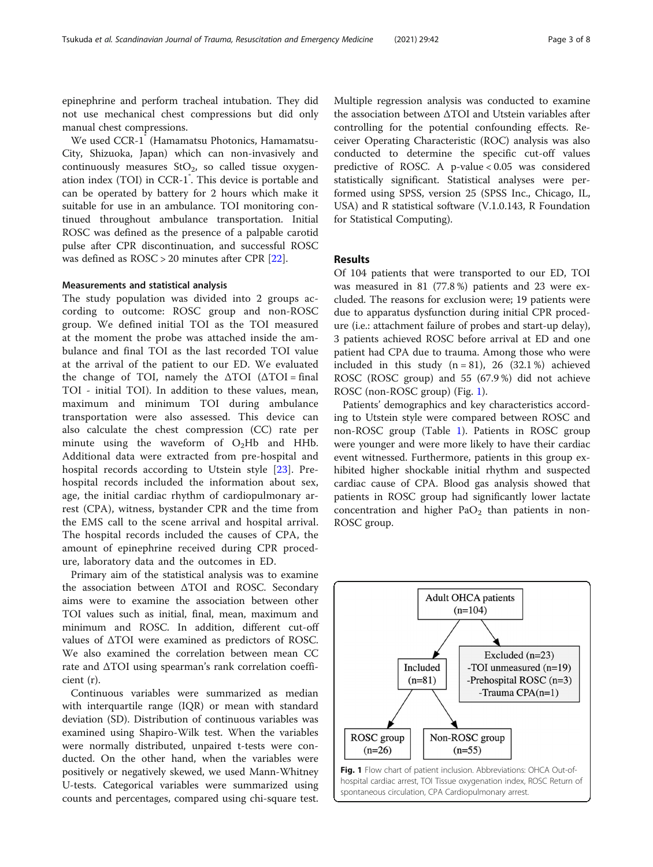epinephrine and perform tracheal intubation. They did not use mechanical chest compressions but did only manual chest compressions.

We used CCR-1 (Hamamatsu Photonics, Hamamatsu-City, Shizuoka, Japan) which can non-invasively and continuously measures  $StO<sub>2</sub>$ , so called tissue oxygenation index (TOI) in CCR-1<sup>°</sup>. This device is portable and can be operated by battery for 2 hours which make it suitable for use in an ambulance. TOI monitoring continued throughout ambulance transportation. Initial ROSC was defined as the presence of a palpable carotid pulse after CPR discontinuation, and successful ROSC was defined as ROSC > 20 minutes after CPR [[22](#page-7-0)].

### Measurements and statistical analysis

The study population was divided into 2 groups according to outcome: ROSC group and non-ROSC group. We defined initial TOI as the TOI measured at the moment the probe was attached inside the ambulance and final TOI as the last recorded TOI value at the arrival of the patient to our ED. We evaluated the change of TOI, namely the  $\Delta$ TOI ( $\Delta$ TOI = final TOI - initial TOI). In addition to these values, mean, maximum and minimum TOI during ambulance transportation were also assessed. This device can also calculate the chest compression (CC) rate per minute using the waveform of  $O<sub>2</sub>Hb$  and HHb. Additional data were extracted from pre-hospital and hospital records according to Utstein style [[23](#page-7-0)]. Prehospital records included the information about sex, age, the initial cardiac rhythm of cardiopulmonary arrest (CPA), witness, bystander CPR and the time from the EMS call to the scene arrival and hospital arrival. The hospital records included the causes of CPA, the amount of epinephrine received during CPR procedure, laboratory data and the outcomes in ED.

Primary aim of the statistical analysis was to examine the association between ΔTOI and ROSC. Secondary aims were to examine the association between other TOI values such as initial, final, mean, maximum and minimum and ROSC. In addition, different cut-off values of ΔTOI were examined as predictors of ROSC. We also examined the correlation between mean CC rate and ΔTOI using spearman's rank correlation coefficient (r).

Continuous variables were summarized as median with interquartile range (IQR) or mean with standard deviation (SD). Distribution of continuous variables was examined using Shapiro-Wilk test. When the variables were normally distributed, unpaired t-tests were conducted. On the other hand, when the variables were positively or negatively skewed, we used Mann-Whitney U-tests. Categorical variables were summarized using counts and percentages, compared using chi-square test. Multiple regression analysis was conducted to examine the association between ΔTOI and Utstein variables after controlling for the potential confounding effects. Receiver Operating Characteristic (ROC) analysis was also conducted to determine the specific cut-off values predictive of ROSC. A p-value < 0.05 was considered statistically significant. Statistical analyses were performed using SPSS, version 25 (SPSS Inc., Chicago, IL, USA) and R statistical software (V.1.0.143, R Foundation for Statistical Computing).

### Results

Of 104 patients that were transported to our ED, TOI was measured in 81 (77.8 %) patients and 23 were excluded. The reasons for exclusion were; 19 patients were due to apparatus dysfunction during initial CPR procedure (i.e.: attachment failure of probes and start-up delay), 3 patients achieved ROSC before arrival at ED and one patient had CPA due to trauma. Among those who were included in this study  $(n = 81)$ , 26 (32.1%) achieved ROSC (ROSC group) and 55 (67.9 %) did not achieve ROSC (non-ROSC group) (Fig. 1).

Patients' demographics and key characteristics according to Utstein style were compared between ROSC and non-ROSC group (Table [1](#page-3-0)). Patients in ROSC group were younger and were more likely to have their cardiac event witnessed. Furthermore, patients in this group exhibited higher shockable initial rhythm and suspected cardiac cause of CPA. Blood gas analysis showed that patients in ROSC group had significantly lower lactate concentration and higher  $PaO<sub>2</sub>$  than patients in non-ROSC group.

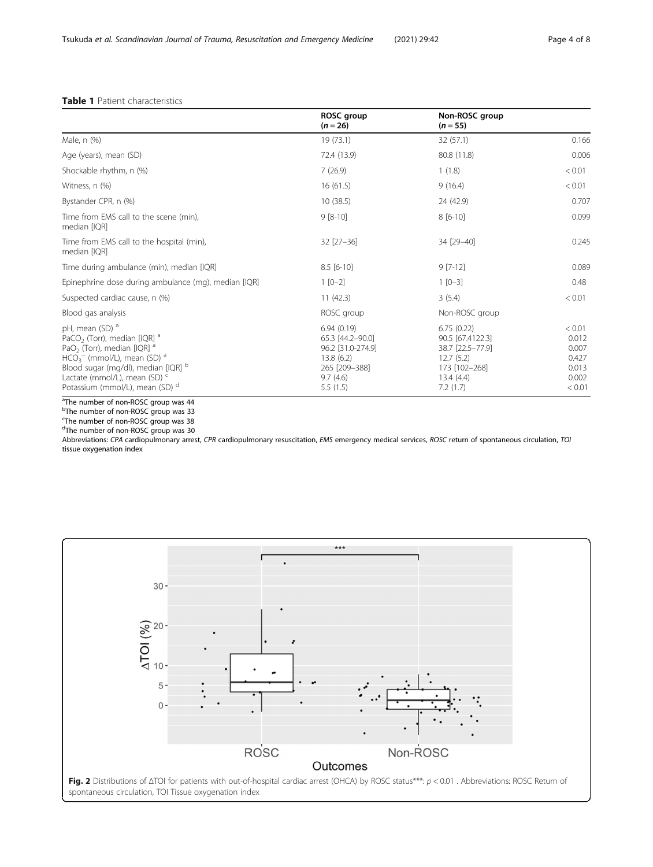# <span id="page-3-0"></span>Table 1 Patient characteristics

|                                                                                                                                                                                                                                                                                                             | ROSC group<br>$(n = 26)$                                                                                  | Non-ROSC group<br>$(n = 55)$                                                                              |                                                               |
|-------------------------------------------------------------------------------------------------------------------------------------------------------------------------------------------------------------------------------------------------------------------------------------------------------------|-----------------------------------------------------------------------------------------------------------|-----------------------------------------------------------------------------------------------------------|---------------------------------------------------------------|
| Male, n (%)                                                                                                                                                                                                                                                                                                 | 19 (73.1)                                                                                                 | 32 (57.1)                                                                                                 | 0.166                                                         |
| Age (years), mean (SD)                                                                                                                                                                                                                                                                                      | 72.4 (13.9)                                                                                               | 80.8 (11.8)                                                                                               | 0.006                                                         |
| Shockable rhythm, n (%)                                                                                                                                                                                                                                                                                     | 7(26.9)                                                                                                   | 1(1.8)                                                                                                    | < 0.01                                                        |
| Witness, n (%)                                                                                                                                                                                                                                                                                              | 16(61.5)                                                                                                  | 9(16.4)                                                                                                   | < 0.01                                                        |
| Bystander CPR, n (%)                                                                                                                                                                                                                                                                                        | 10(38.5)                                                                                                  | 24 (42.9)                                                                                                 | 0.707                                                         |
| Time from EMS call to the scene (min),<br>median [IQR]                                                                                                                                                                                                                                                      | $9 [8-10]$                                                                                                | $8[6-10]$                                                                                                 | 0.099                                                         |
| Time from EMS call to the hospital (min),<br>median [IQR]                                                                                                                                                                                                                                                   | $32$ [ $27 - 36$ ]                                                                                        | 34 [29-40]                                                                                                | 0.245                                                         |
| Time during ambulance (min), median [IQR]                                                                                                                                                                                                                                                                   | $8.5$ [6-10]                                                                                              | $9$ [7-12]                                                                                                | 0.089                                                         |
| Epinephrine dose during ambulance (mg), median [IQR]                                                                                                                                                                                                                                                        | $1 [0-2]$                                                                                                 | $1 [0-3]$                                                                                                 | 0.48                                                          |
| Suspected cardiac cause, n (%)                                                                                                                                                                                                                                                                              | 11(42.3)                                                                                                  | 3(5.4)                                                                                                    | < 0.01                                                        |
| Blood gas analysis                                                                                                                                                                                                                                                                                          | ROSC group                                                                                                | Non-ROSC group                                                                                            |                                                               |
| pH, mean (SD) <sup>a</sup><br>PaCO <sub>2</sub> (Torr), median [IQR] <sup>a</sup><br>PaO <sub>2</sub> (Torr), median [IQR] <sup>a</sup><br>$HCO3-$ (mmol/L), mean (SD) $a$<br>Blood sugar (mg/dl), median [IQR] b<br>Lactate (mmol/L), mean (SD) <sup>c</sup><br>Potassium (mmol/L), mean (SD) <sup>d</sup> | 6.94(0.19)<br>65.3 [44.2-90.0]<br>96.2 [31.0-274.9]<br>13.8(6.2)<br>265 [209-388]<br>9.7(4.6)<br>5.5(1.5) | 6.75(0.22)<br>90.5 [67.4122.3]<br>38.7 [22.5-77.9]<br>12.7(5.2)<br>173 [102-268]<br>13.4(4.4)<br>7.2(1.7) | < 0.01<br>0.012<br>0.007<br>0.427<br>0.013<br>0.002<br>< 0.01 |

<sup>a</sup>The number of non-ROSC group was 44

<sup>b</sup>The number of non-ROSC group was 33

<sup>c</sup>The number of non-ROSC group was 38<br><sup>d</sup>The number of non-ROSC group was 30

Abbreviations: CPA cardiopulmonary arrest, CPR cardiopulmonary resuscitation, EMS emergency medical services, ROSC return of spontaneous circulation, TOI tissue oxygenation index

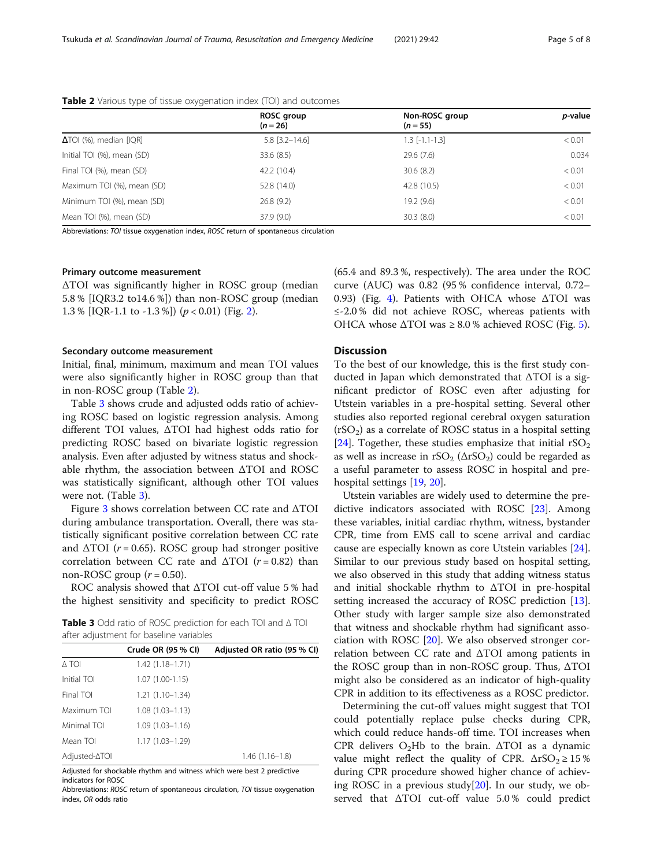|                                | ROSC group<br>$(n = 26)$ | Non-ROSC group<br>$(n = 55)$ | p-value |
|--------------------------------|--------------------------|------------------------------|---------|
| $\Delta$ TOI (%), median [IQR] | $5.8$ [3.2-14.6]         | $1.3$ [-1.1-1.3]             | < 0.01  |
| Initial TOI (%), mean (SD)     | 33.6(8.5)                | 29.6(7.6)                    | 0.034   |
| Final TOI (%), mean (SD)       | 42.2 (10.4)              | 30.6(8.2)                    | < 0.01  |
| Maximum TOI (%), mean (SD)     | 52.8 (14.0)              | 42.8 (10.5)                  | < 0.01  |
| Minimum TOI (%), mean (SD)     | 26.8(9.2)                | 19.2 (9.6)                   | < 0.01  |
| Mean TOI (%), mean (SD)        | 37.9 (9.0)               | 30.3(8.0)                    | < 0.01  |

Table 2 Various type of tissue oxygenation index (TOI) and outcomes

Abbreviations: TOI tissue oxygenation index, ROSC return of spontaneous circulation

### Primary outcome measurement

ΔTOI was significantly higher in ROSC group (median 5.8 % [IQR3.2 to14.6 %]) than non-ROSC group (median 1.3 % [IQR-1.1 to -1.3 %]) ( $p < 0.01$ ) (Fig. [2\)](#page-3-0).

### Secondary outcome measurement

Initial, final, minimum, maximum and mean TOI values were also significantly higher in ROSC group than that in non-ROSC group (Table 2).

Table 3 shows crude and adjusted odds ratio of achieving ROSC based on logistic regression analysis. Among different TOI values, ΔTOI had highest odds ratio for predicting ROSC based on bivariate logistic regression analysis. Even after adjusted by witness status and shockable rhythm, the association between ΔTOI and ROSC was statistically significant, although other TOI values were not. (Table 3).

Figure [3](#page-5-0) shows correlation between CC rate and ΔTOI during ambulance transportation. Overall, there was statistically significant positive correlation between CC rate and  $\Delta \text{TOI}$  ( $r = 0.65$ ). ROSC group had stronger positive correlation between CC rate and  $\triangle TOI$  ( $r = 0.82$ ) than non-ROSC group  $(r = 0.50)$ .

ROC analysis showed that ΔTOI cut-off value 5 % had the highest sensitivity and specificity to predict ROSC

Table 3 Odd ratio of ROSC prediction for each TOI and Δ TOI after adjustment for baseline variables

|               | Crude OR (95 % CI)  | Adjusted OR ratio (95 % CI) |
|---------------|---------------------|-----------------------------|
| A TOI         | $1.42(1.18 - 1.71)$ |                             |
| Initial TOI   | $1.07(1.00-1.15)$   |                             |
| Final TOI     | $1.21(1.10-1.34)$   |                             |
| Maximum TOI   | $1.08(1.03 - 1.13)$ |                             |
| Minimal TOI   | $1.09(1.03 - 1.16)$ |                             |
| Mean TOI      | $1.17(1.03 - 1.29)$ |                             |
| Adjusted-∆TOI |                     | $1.46(1.16-1.8)$            |

Adjusted for shockable rhythm and witness which were best 2 predictive indicators for ROSC

Abbreviations: ROSC return of spontaneous circulation, TOI tissue oxygenation index, OR odds ratio

(65.4 and 89.3 %, respectively). The area under the ROC curve (AUC) was 0.82 (95 % confidence interval, 0.72– 0.93) (Fig. [4\)](#page-5-0). Patients with OHCA whose ΔTOI was ≤-2.0 % did not achieve ROSC, whereas patients with OHCA whose  $\triangle \text{TOL}$  was  $\geq 8.0$  % achieved ROSC (Fig. [5\)](#page-6-0).

## Discussion

To the best of our knowledge, this is the first study conducted in Japan which demonstrated that ΔTOI is a significant predictor of ROSC even after adjusting for Utstein variables in a pre-hospital setting. Several other studies also reported regional cerebral oxygen saturation  $(rSO<sub>2</sub>)$  as a correlate of ROSC status in a hospital setting [[24\]](#page-7-0). Together, these studies emphasize that initial  $rSO<sub>2</sub>$ as well as increase in  $rSO_2 (\Delta rSO_2)$  could be regarded as a useful parameter to assess ROSC in hospital and prehospital settings [[19,](#page-7-0) [20\]](#page-7-0).

Utstein variables are widely used to determine the predictive indicators associated with ROSC [\[23](#page-7-0)]. Among these variables, initial cardiac rhythm, witness, bystander CPR, time from EMS call to scene arrival and cardiac cause are especially known as core Utstein variables [\[24](#page-7-0)]. Similar to our previous study based on hospital setting, we also observed in this study that adding witness status and initial shockable rhythm to ΔTOI in pre-hospital setting increased the accuracy of ROSC prediction [\[13](#page-7-0)]. Other study with larger sample size also demonstrated that witness and shockable rhythm had significant association with ROSC [\[20\]](#page-7-0). We also observed stronger correlation between CC rate and ΔTOI among patients in the ROSC group than in non-ROSC group. Thus, ΔTOI might also be considered as an indicator of high-quality CPR in addition to its effectiveness as a ROSC predictor.

Determining the cut-off values might suggest that TOI could potentially replace pulse checks during CPR, which could reduce hands-off time. TOI increases when CPR delivers  $O_2Hb$  to the brain.  $\Delta TOI$  as a dynamic value might reflect the quality of CPR.  $\Delta rSO_2 \geq 15\%$ during CPR procedure showed higher chance of achieving ROSC in a previous study[ $20$ ]. In our study, we observed that ΔTOI cut-off value 5.0 % could predict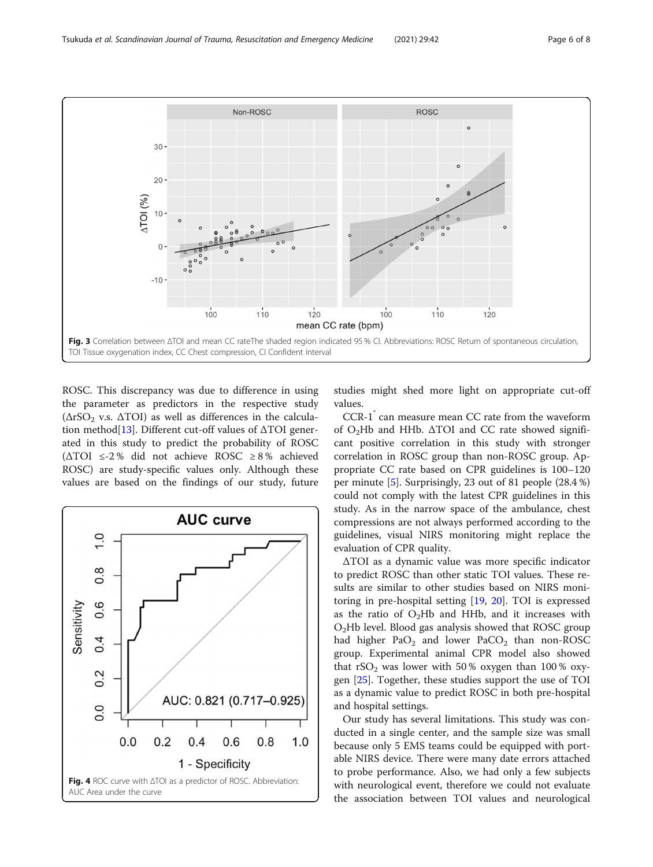<span id="page-5-0"></span>

ROSC. This discrepancy was due to difference in using the parameter as predictors in the respective study ( $\Delta rSO_2$  v.s.  $\Delta TOI$ ) as well as differences in the calcula-tion method<sup>[\[13](#page-7-0)]</sup>. Different cut-off values of  $\Delta$ TOI generated in this study to predict the probability of ROSC (ΔTOI ≤-2 % did not achieve ROSC ≥ 8 % achieved ROSC) are study-specific values only. Although these values are based on the findings of our study, future



studies might shed more light on appropriate cut-off values.

CCR-1<sup> $\degree$ </sup> can measure mean CC rate from the waveform of  $O_2$ Hb and HHb.  $\Delta$ TOI and CC rate showed significant positive correlation in this study with stronger correlation in ROSC group than non-ROSC group. Appropriate CC rate based on CPR guidelines is 100–120 per minute [\[5](#page-7-0)]. Surprisingly, 23 out of 81 people (28.4 %) could not comply with the latest CPR guidelines in this study. As in the narrow space of the ambulance, chest compressions are not always performed according to the guidelines, visual NIRS monitoring might replace the evaluation of CPR quality.

ΔTOI as a dynamic value was more specific indicator to predict ROSC than other static TOI values. These results are similar to other studies based on NIRS monitoring in pre-hospital setting [\[19](#page-7-0), [20](#page-7-0)]. TOI is expressed as the ratio of  $O_2Hb$  and HHb, and it increases with O2Hb level. Blood gas analysis showed that ROSC group had higher  $PaO<sub>2</sub>$  and lower  $PaCO<sub>2</sub>$  than non-ROSC group. Experimental animal CPR model also showed that  $rSO<sub>2</sub>$  was lower with 50% oxygen than 100% oxygen [[25](#page-7-0)]. Together, these studies support the use of TOI as a dynamic value to predict ROSC in both pre-hospital and hospital settings.

Our study has several limitations. This study was conducted in a single center, and the sample size was small because only 5 EMS teams could be equipped with portable NIRS device. There were many date errors attached to probe performance. Also, we had only a few subjects with neurological event, therefore we could not evaluate the association between TOI values and neurological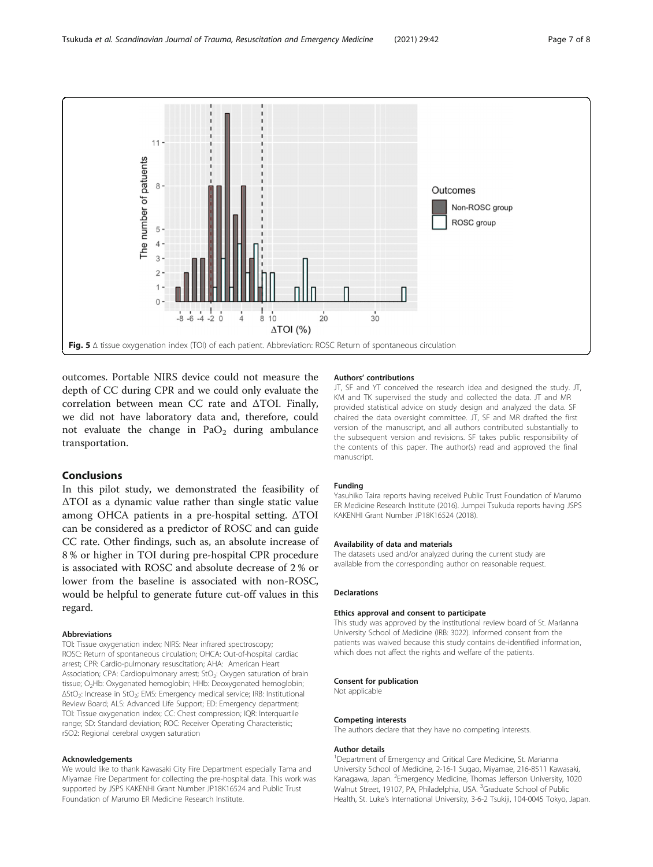<span id="page-6-0"></span>

outcomes. Portable NIRS device could not measure the depth of CC during CPR and we could only evaluate the correlation between mean CC rate and ΔTOI. Finally, we did not have laboratory data and, therefore, could not evaluate the change in  $PaO<sub>2</sub>$  during ambulance transportation.

# Conclusions

In this pilot study, we demonstrated the feasibility of ΔTOI as a dynamic value rather than single static value among OHCA patients in a pre-hospital setting. ΔTOI can be considered as a predictor of ROSC and can guide CC rate. Other findings, such as, an absolute increase of 8 % or higher in TOI during pre-hospital CPR procedure is associated with ROSC and absolute decrease of 2 % or lower from the baseline is associated with non-ROSC, would be helpful to generate future cut-off values in this regard.

### Abbreviations

TOI: Tissue oxygenation index; NIRS: Near infrared spectroscopy; ROSC: Return of spontaneous circulation; OHCA: Out-of-hospital cardiac arrest; CPR: Cardio-pulmonary resuscitation; AHA: American Heart Association; CPA: Cardiopulmonary arrest; StO<sub>2</sub>: Oxygen saturation of brain tissue; O<sub>2</sub>Hb: Oxygenated hemoglobin; HHb: Deoxygenated hemoglobin; ΔStO2: Increase in StO2; EMS: Emergency medical service; IRB: Institutional Review Board; ALS: Advanced Life Support; ED: Emergency department; TOI: Tissue oxygenation index; CC: Chest compression; IQR: Interquartile range; SD: Standard deviation; ROC: Receiver Operating Characteristic; rSO2: Regional cerebral oxygen saturation

#### Acknowledgements

We would like to thank Kawasaki City Fire Department especially Tama and Miyamae Fire Department for collecting the pre-hospital data. This work was supported by JSPS KAKENHI Grant Number JP18K16524 and Public Trust Foundation of Marumo ER Medicine Research Institute.

#### Authors' contributions

JT, SF and YT conceived the research idea and designed the study. JT, KM and TK supervised the study and collected the data. JT and MR provided statistical advice on study design and analyzed the data. SF chaired the data oversight committee. JT, SF and MR drafted the first version of the manuscript, and all authors contributed substantially to the subsequent version and revisions. SF takes public responsibility of the contents of this paper. The author(s) read and approved the final manuscript.

#### Funding

Yasuhiko Taira reports having received Public Trust Foundation of Marumo ER Medicine Research Institute (2016). Jumpei Tsukuda reports having JSPS KAKENHI Grant Number JP18K16524 (2018).

#### Availability of data and materials

The datasets used and/or analyzed during the current study are available from the corresponding author on reasonable request.

#### Declarations

#### Ethics approval and consent to participate

This study was approved by the institutional review board of St. Marianna University School of Medicine (IRB: 3022). Informed consent from the patients was waived because this study contains de-identified information, which does not affect the rights and welfare of the patients.

#### Consent for publication

Not applicable

#### Competing interests

The authors declare that they have no competing interests.

#### Author details

<sup>1</sup>Department of Emergency and Critical Care Medicine, St. Marianna University School of Medicine, 2-16-1 Sugao, Miyamae, 216-8511 Kawasaki, Kanagawa, Japan. <sup>2</sup>Emergency Medicine, Thomas Jefferson University, 1020 Walnut Street, 19107, PA, Philadelphia, USA. <sup>3</sup>Graduate School of Public Health, St. Luke's International University, 3-6-2 Tsukiji, 104-0045 Tokyo, Japan.